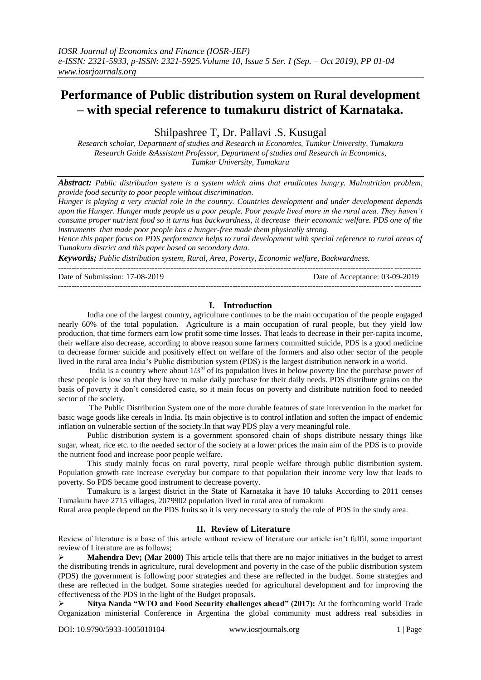# **Performance of Public distribution system on Rural development – with special reference to tumakuru district of Karnataka.**

Shilpashree T, Dr. Pallavi .S. Kusugal

*Research scholar, Department of studies and Research in Economics, Tumkur University, Tumakuru Research Guide &Assistant Professor, Department of studies and Research in Economics, Tumkur University, Tumakuru*

*Abstract: Public distribution system is a system which aims that eradicates hungry. Malnutrition problem, provide food security to poor people without discrimination.*

*Hunger is playing a very crucial role in the country. Countries development and under development depends upon the Hunger. Hunger made people as a poor people. Poor people lived more in the rural area. They haven't consume proper nutrient food so it turns has backwardness, it decrease their economic welfare. PDS one of the instruments that made poor people has a hunger-free made them physically strong.*

*Hence this paper focus on PDS performance helps to rural development with special reference to rural areas of Tumakuru district and this paper based on secondary data.*

---------------------------------------------------------------------------------------------------------------------------------------

*Keywords; Public distribution system, Rural, Area, Poverty, Economic welfare, Backwardness.*

Date of Submission: 17-08-2019 Date of Acceptance: 03-09-2019 ---------------------------------------------------------------------------------------------------------------------------------------

## **I. Introduction**

India one of the largest country, agriculture continues to be the main occupation of the people engaged nearly 60% of the total population. Agriculture is a main occupation of rural people, but they yield low production, that time formers earn low profit some time losses. That leads to decrease in their per-capita income, their welfare also decrease, according to above reason some farmers committed suicide, PDS is a good medicine to decrease former suicide and positively effect on welfare of the formers and also other sector of the people lived in the rural area India"s Public distribution system (PDS) is the largest distribution network in a world.

India is a country where about  $1/3^{rd}$  of its population lives in below poverty line the purchase power of these people is low so that they have to make daily purchase for their daily needs. PDS distribute grains on the basis of poverty it don"t considered caste, so it main focus on poverty and distribute nutrition food to needed sector of the society.

The Public Distribution System one of the more durable features of state intervention in the market for basic wage goods like cereals in India. Its main objective is to control inflation and soften the impact of endemic inflation on vulnerable section of the society.In that way PDS play a very meaningful role.

Public distribution system is a government sponsored chain of shops distribute nessary things like sugar, wheat, rice etc. to the needed sector of the society at a lower prices the main aim of the PDS is to provide the nutrient food and increase poor people welfare.

This study mainly focus on rural poverty, rural people welfare through public distribution system. Population growth rate increase everyday but compare to that population their income very low that leads to poverty. So PDS became good instrument to decrease poverty.

Tumakuru is a largest district in the State of Karnataka it have 10 taluks According to 2011 censes Tumakuru have 2715 villages, 2079902 population lived in rural area of tumakuru

Rural area people depend on the PDS fruits so it is very necessary to study the role of PDS in the study area.

## **II. Review of Literature**

Review of literature is a base of this article without review of literature our article isn"t fulfil, some important review of Literature are as follows;

**Mahendra Dev; (Mar 2000)** This article tells that there are no major initiatives in the budget to arrest the distributing trends in agriculture, rural development and poverty in the case of the public distribution system (PDS) the government is following poor strategies and these are reflected in the budget. Some strategies and these are reflected in the budget. Some strategies needed for agricultural development and for improving the effectiveness of the PDS in the light of the Budget proposals.

 **Nitya Nanda "WTO and Food Security challenges ahead" (2017):** At the forthcoming world Trade Organization ministerial Conference in Argentina the global community must address real subsidies in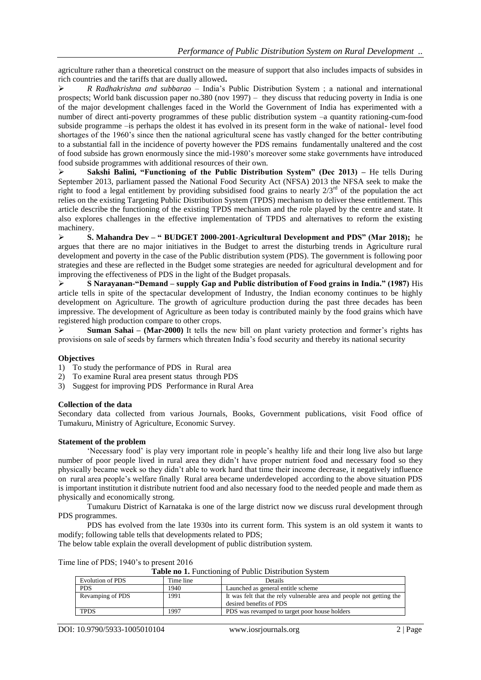agriculture rather than a theoretical construct on the measure of support that also includes impacts of subsides in rich countries and the tariffs that are dually allowed**.**

 *R Radhakrishna and subbarao* – India"s Public Distribution System ; a national and international prospects; World bank discussion paper no.380 (nov 1997) – they discuss that reducing poverty in India is one of the major development challenges faced in the World the Government of India has experimented with a number of direct anti-poverty programmes of these public distribution system –a quantity rationing-cum-food subside programme –is perhaps the oldest it has evolved in its present form in the wake of national- level food shortages of the 1960"s since then the national agricultural scene has vastly changed for the better contributing to a substantial fall in the incidence of poverty however the PDS remains fundamentally unaltered and the cost of food subside has grown enormously since the mid-1980"s moreover some stake governments have introduced food subside programmes with additional resources of their own.

 **Sakshi Balini, "Functioning of the Public Distribution System" (Dec 2013) –** He tells During September 2013, parliament passed the National Food Security Act (NFSA) 2013 the NFSA seek to make the right to food a legal entitlement by providing subsidised food grains to nearly  $2/3^{rd}$  of the population the act relies on the existing Targeting Public Distribution System (TPDS) mechanism to deliver these entitlement. This article describe the functioning of the existing TPDS mechanism and the role played by the centre and state. It also explores challenges in the effective implementation of TPDS and alternatives to reform the existing machinery.

 **S. Mahandra Dev – " BUDGET 2000-2001-Agricultural Development and PDS" (Mar 2018);** he argues that there are no major initiatives in the Budget to arrest the disturbing trends in Agriculture rural development and poverty in the case of the Public distribution system (PDS). The government is following poor strategies and these are reflected in the Budget some strategies are needed for agricultural development and for improving the effectiveness of PDS in the light of the Budget propasals.

 **S Narayanan-"Demand – supply Gap and Public distribution of Food grains in India." (1987)** His article tells in spite of the spectacular development of Industry, the Indian economy continues to be highly development on Agriculture. The growth of agriculture production during the past three decades has been impressive. The development of Agriculture as been today is contributed mainly by the food grains which have registered high production compare to other crops.

 **Suman Sahai – (Mar-2000)** It tells the new bill on plant variety protection and former"s rights has provisions on sale of seeds by farmers which threaten India"s food security and thereby its national security

## **Objectives**

- 1) To study the performance of PDS in Rural area
- 2) To examine Rural area present status through PDS
- 3) Suggest for improving PDS Performance in Rural Area

## **Collection of the data**

Secondary data collected from various Journals, Books, Government publications, visit Food office of Tumakuru, Ministry of Agriculture, Economic Survey.

## **Statement of the problem**

"Necessary food" is play very important role in people"s healthy life and their long live also but large number of poor people lived in rural area they didn"t have proper nutrient food and necessary food so they physically became week so they didn"t able to work hard that time their income decrease, it negatively influence on rural area people"s welfare finally Rural area became underdeveloped according to the above situation PDS is important institution it distribute nutrient food and also necessary food to the needed people and made them as physically and economically strong.

Tumakuru District of Karnataka is one of the large district now we discuss rural development through PDS programmes.

PDS has evolved from the late 1930s into its current form. This system is an old system it wants to modify; following table tells that developments related to PDS;

The below table explain the overall development of public distribution system.

Time line of PDS; 1940's to present 2016

| Evolution of PDS | Time line | Details                                                                                         |
|------------------|-----------|-------------------------------------------------------------------------------------------------|
| <b>PDS</b>       | 1940      | Launched as general entitle scheme                                                              |
| Revamping of PDS | 1991      | It was felt that the rely vulnerable area and people not getting the<br>desired benefits of PDS |
| <b>TPDS</b>      | 1997      | PDS was revamped to target poor house holders                                                   |
|                  |           |                                                                                                 |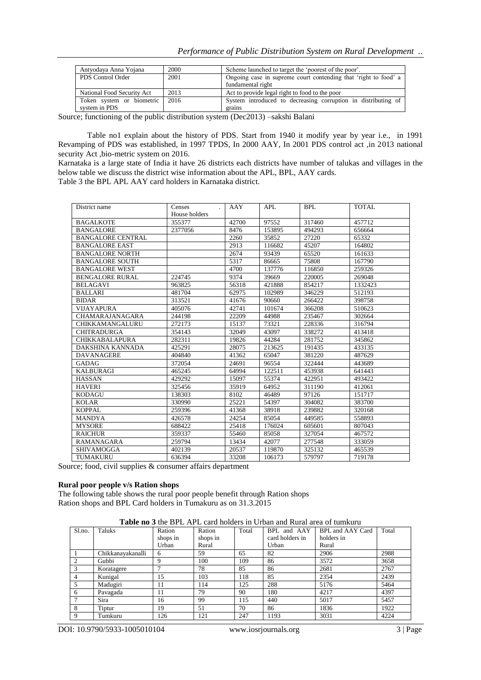| Antyodaya Anna Yojana      | 2000 | Scheme launched to target the 'poorest of the poor'.            |  |  |  |
|----------------------------|------|-----------------------------------------------------------------|--|--|--|
| PDS Control Order          | 2001 | Ongoing case in supreme court contending that 'right to food' a |  |  |  |
|                            |      | fundamental right                                               |  |  |  |
| National Food Security Act | 2013 | Act to provide legal right to food to the poor                  |  |  |  |
| Token system or biometric  | 2016 | System introduced to decreasing corruption in distributing of   |  |  |  |
| system in PDS              |      | grains                                                          |  |  |  |

Source; functioning of the public distribution system (Dec2013) –sakshi Balani

Table no1 explain about the history of PDS. Start from 1940 it modify year by year i.e., in 1991 Revamping of PDS was established, in 1997 TPDS, In 2000 AAY, In 2001 PDS control act ,in 2013 national security Act ,bio-metric system on 2016.

Karnataka is a large state of India it have 26 districts each districts have number of talukas and villages in the below table we discuss the district wise information about the APL, BPL, AAY cards. Table 3 the BPL APL AAY card holders in Karnataka district.

| District name            | Censes        | AAY   | <b>APL</b> | <b>BPL</b> | <b>TOTAL</b> |
|--------------------------|---------------|-------|------------|------------|--------------|
|                          | House holders |       |            |            |              |
| <b>BAGALKOTE</b>         | 355377        | 42700 | 97552      | 317460     | 457712       |
| <b>BANGALORE</b>         | 2377056       | 8476  | 153895     | 494293     | 656664       |
| <b>BANGALORE CENTRAL</b> |               | 2260  | 35852      | 27220      | 65332        |
| <b>BANGALORE EAST</b>    |               | 2913  | 116682     | 45207      | 164802       |
| <b>BANGALORE NORTH</b>   |               | 2674  | 93439      | 65520      | 161633       |
| <b>BANGALORE SOUTH</b>   |               | 5317  | 86665      | 75808      | 167790       |
| <b>BANGALORE WEST</b>    |               | 4700  | 137776     | 116850     | 259326       |
| <b>BENGALORE RURAL</b>   | 224745        | 9374  | 39669      | 220005     | 269048       |
| <b>BELAGAVI</b>          | 963825        | 56318 | 421888     | 854217     | 1332423      |
| <b>BALLARI</b>           | 481704        | 62975 | 102989     | 346229     | 512193       |
| <b>BIDAR</b>             | 313521        | 41676 | 90660      | 266422     | 398758       |
| <b>VIJAYAPURA</b>        | 405076        | 42741 | 101674     | 366208     | 510623       |
| <b>CHAMARAJANAGARA</b>   | 244198        | 22209 | 44988      | 235467     | 302664       |
| CHIKKAMANGALURU          | 272173        | 15137 | 73321      | 228336     | 316794       |
| <b>CHITRADURGA</b>       | 354143        | 32049 | 43097      | 338272     | 413418       |
| <b>CHIKKABALAPURA</b>    | 282311        | 19826 | 44284      | 281752     | 345862       |
| DAKSHINA KANNADA         | 425291        | 28075 | 213625     | 191435     | 433135       |
| <b>DAVANAGERE</b>        | 404840        | 41362 | 65047      | 381220     | 487629       |
| <b>GADAG</b>             | 372054        | 24691 | 96554      | 322444     | 443689       |
| <b>KALBURAGI</b>         | 465245        | 64994 | 122511     | 453938     | 641443       |
| <b>HASSAN</b>            | 429292        | 15097 | 55374      | 422951     | 493422       |
| <b>HAVERI</b>            | 325456        | 35919 | 64952      | 311190     | 412061       |
| <b>KODAGU</b>            | 138303        | 8102  | 46489      | 97126      | 151717       |
| <b>KOLAR</b>             | 330990        | 25221 | 54397      | 304082     | 383700       |
| <b>KOPPAL</b>            | 259396        | 41368 | 38918      | 239882     | 320168       |
| <b>MANDYA</b>            | 426578        | 24254 | 85054      | 449585     | 558893       |
| <b>MYSORE</b>            | 688422        | 25418 | 176024     | 605601     | 807043       |
| <b>RAICHUR</b>           | 359337        | 55460 | 85058      | 327054     | 467572       |
| <b>RAMANAGARA</b>        | 259794        | 13434 | 42077      | 277548     | 333059       |
| SHIVAMOGGA               | 402139        | 20537 | 119870     | 325132     | 465539       |
| TUMAKURU                 | 636394        | 33208 | 106173     | 579797     | 719178       |

Source; food, civil supplies & consumer affairs department

#### **Rural poor people v/s Ration shops**

The following table shows the rural poor people benefit through Ration shops Ration shops and BPL Card holders in Tumakuru as on 31.3.2015

**Table no 3** the BPL APL card holders in Urban and Rural area of tumkuru

| Sl.no. | Taluks            | Ration   | Ration   | Total | BPL and AAY     | BPL and AAY Card | Total |
|--------|-------------------|----------|----------|-------|-----------------|------------------|-------|
|        |                   | shops in | shops in |       | card holders in | holders in       |       |
|        |                   | Urban    | Rural    |       | Urban           | Rural            |       |
|        | Chikkanayakanalli | 6        | 59       | 65    | 82              | 2906             | 2988  |
|        | Gubbi             | Q        | 100      | 109   | 86              | 3572             | 3658  |
|        | Koratagere        | ⇁        | 78       | 85    | 86              | 2681             | 2767  |
| 4      | Kunigal           | 15       | 103      | 118   | 85              | 2354             | 2439  |
| 5      | Madugiri          | 11       | 114      | 125   | 288             | 5176             | 5464  |
| 6      | Pavagada          | 11       | 79       | 90    | 180             | 4217             | 4397  |
|        | Sira              | 16       | 99       | 115   | 440             | 5017             | 5457  |
| 8      | Tiptur            | 19       | 51       | 70    | 86              | 1836             | 1922  |
| 9      | Tumkuru           | 126      | 121      | 247   | 1193            | 3031             | 4224  |